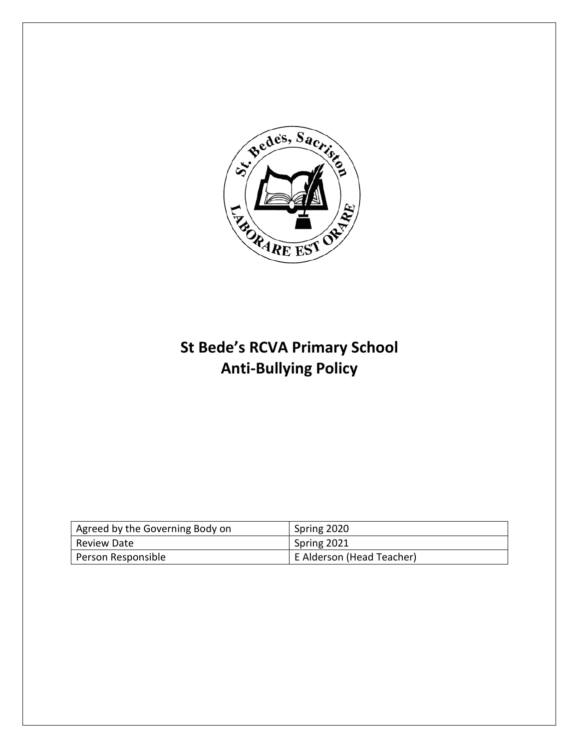

# **St Bede's RCVA Primary School Anti-Bullying Policy**

| Agreed by the Governing Body on | Spring 2020               |
|---------------------------------|---------------------------|
| Review Date                     | Spring 2021               |
| Person Responsible              | E Alderson (Head Teacher) |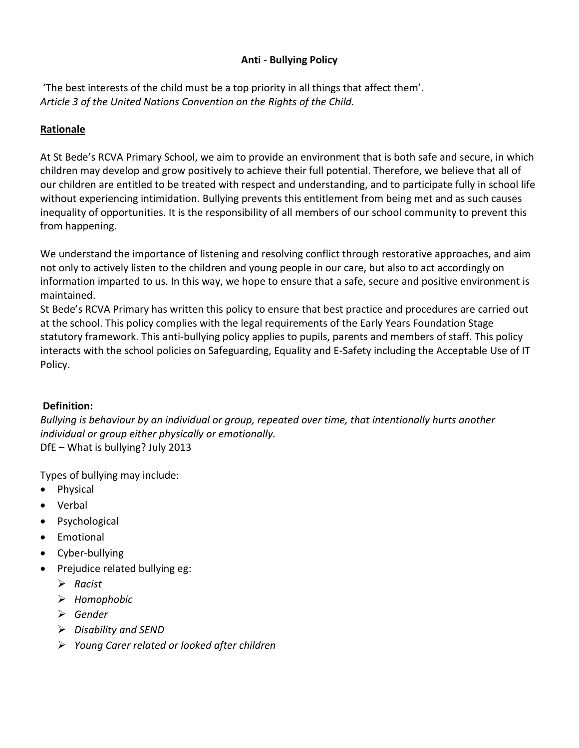## **Anti - Bullying Policy**

'The best interests of the child must be a top priority in all things that affect them'. *Article 3 of the United Nations Convention on the Rights of the Child.*

# **Rationale**

At St Bede's RCVA Primary School, we aim to provide an environment that is both safe and secure, in which children may develop and grow positively to achieve their full potential. Therefore, we believe that all of our children are entitled to be treated with respect and understanding, and to participate fully in school life without experiencing intimidation. Bullying prevents this entitlement from being met and as such causes inequality of opportunities. It is the responsibility of all members of our school community to prevent this from happening.

We understand the importance of listening and resolving conflict through restorative approaches, and aim not only to actively listen to the children and young people in our care, but also to act accordingly on information imparted to us. In this way, we hope to ensure that a safe, secure and positive environment is maintained.

St Bede's RCVA Primary has written this policy to ensure that best practice and procedures are carried out at the school. This policy complies with the legal requirements of the Early Years Foundation Stage statutory framework. This anti-bullying policy applies to pupils, parents and members of staff. This policy interacts with the school policies on Safeguarding, Equality and E-Safety including the Acceptable Use of IT Policy.

## **Definition:**

*Bullying is behaviour by an individual or group, repeated over time, that intentionally hurts another individual or group either physically or emotionally.*  DfE – What is bullying? July 2013

Types of bullying may include:

- Physical
- Verbal
- Psychological
- Emotional
- Cyber-bullying
- Prejudice related bullying eg:
	- *Racist*
	- *Homophobic*
	- *Gender*
	- *Disability and SEND*
	- *Young Carer related or looked after children*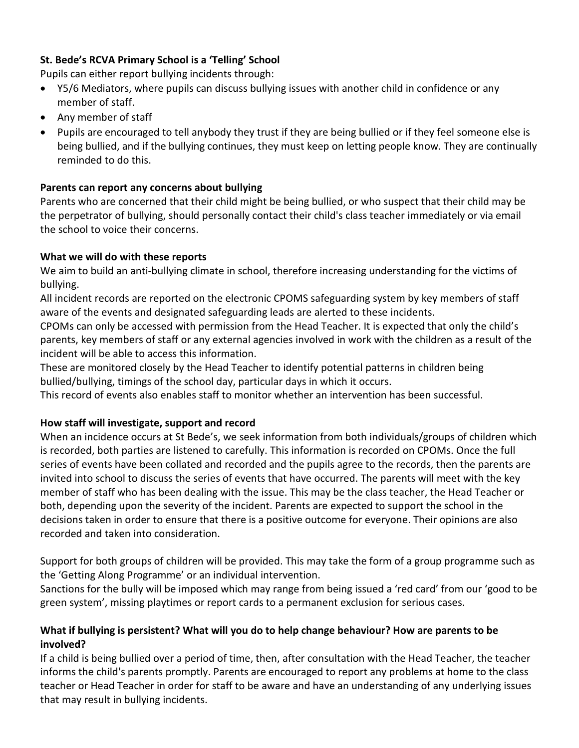# **St. Bede's RCVA Primary School is a 'Telling' School**

Pupils can either report bullying incidents through:

- Y5/6 Mediators, where pupils can discuss bullying issues with another child in confidence or any member of staff.
- Any member of staff
- Pupils are encouraged to tell anybody they trust if they are being bullied or if they feel someone else is being bullied, and if the bullying continues, they must keep on letting people know. They are continually reminded to do this.

## **Parents can report any concerns about bullying**

Parents who are concerned that their child might be being bullied, or who suspect that their child may be the perpetrator of bullying, should personally contact their child's class teacher immediately or via email the school to voice their concerns.

## **What we will do with these reports**

We aim to build an anti-bullying climate in school, therefore increasing understanding for the victims of bullying.

All incident records are reported on the electronic CPOMS safeguarding system by key members of staff aware of the events and designated safeguarding leads are alerted to these incidents.

CPOMs can only be accessed with permission from the Head Teacher. It is expected that only the child's parents, key members of staff or any external agencies involved in work with the children as a result of the incident will be able to access this information.

These are monitored closely by the Head Teacher to identify potential patterns in children being bullied/bullying, timings of the school day, particular days in which it occurs.

This record of events also enables staff to monitor whether an intervention has been successful.

## **How staff will investigate, support and record**

When an incidence occurs at St Bede's, we seek information from both individuals/groups of children which is recorded, both parties are listened to carefully. This information is recorded on CPOMs. Once the full series of events have been collated and recorded and the pupils agree to the records, then the parents are invited into school to discuss the series of events that have occurred. The parents will meet with the key member of staff who has been dealing with the issue. This may be the class teacher, the Head Teacher or both, depending upon the severity of the incident. Parents are expected to support the school in the decisions taken in order to ensure that there is a positive outcome for everyone. Their opinions are also recorded and taken into consideration.

Support for both groups of children will be provided. This may take the form of a group programme such as the 'Getting Along Programme' or an individual intervention.

Sanctions for the bully will be imposed which may range from being issued a 'red card' from our 'good to be green system', missing playtimes or report cards to a permanent exclusion for serious cases.

## **What if bullying is persistent? What will you do to help change behaviour? How are parents to be involved?**

If a child is being bullied over a period of time, then, after consultation with the Head Teacher, the teacher informs the child's parents promptly. Parents are encouraged to report any problems at home to the class teacher or Head Teacher in order for staff to be aware and have an understanding of any underlying issues that may result in bullying incidents.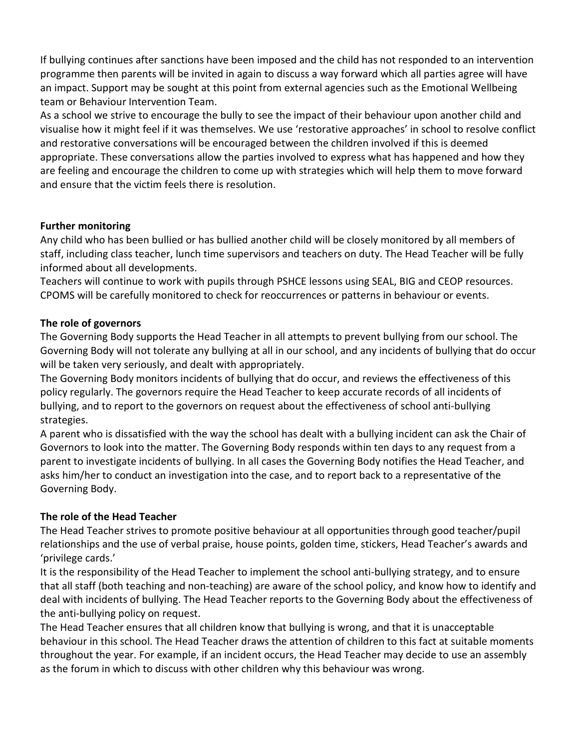If bullying continues after sanctions have been imposed and the child has not responded to an intervention programme then parents will be invited in again to discuss a way forward which all parties agree will have an impact. Support may be sought at this point from external agencies such as the Emotional Wellbeing team or Behaviour Intervention Team.

As a school we strive to encourage the bully to see the impact of their behaviour upon another child and visualise how it might feel if it was themselves. We use 'restorative approaches' in school to resolve conflict and restorative conversations will be encouraged between the children involved if this is deemed appropriate. These conversations allow the parties involved to express what has happened and how they are feeling and encourage the children to come up with strategies which will help them to move forward and ensure that the victim feels there is resolution.

#### **Further monitoring**

Any child who has been bullied or has bullied another child will be closely monitored by all members of staff, including class teacher, lunch time supervisors and teachers on duty. The Head Teacher will be fully informed about all developments.

Teachers will continue to work with pupils through PSHCE lessons using SEAL, BIG and CEOP resources. CPOMS will be carefully monitored to check for reoccurrences or patterns in behaviour or events.

#### **The role of governors**

The Governing Body supports the Head Teacher in all attempts to prevent bullying from our school. The Governing Body will not tolerate any bullying at all in our school, and any incidents of bullying that do occur will be taken very seriously, and dealt with appropriately.

The Governing Body monitors incidents of bullying that do occur, and reviews the effectiveness of this policy regularly. The governors require the Head Teacher to keep accurate records of all incidents of bullying, and to report to the governors on request about the effectiveness of school anti-bullying strategies.

A parent who is dissatisfied with the way the school has dealt with a bullying incident can ask the Chair of Governors to look into the matter. The Governing Body responds within ten days to any request from a parent to investigate incidents of bullying. In all cases the Governing Body notifies the Head Teacher, and asks him/her to conduct an investigation into the case, and to report back to a representative of the Governing Body.

## **The role of the Head Teacher**

The Head Teacher strives to promote positive behaviour at all opportunities through good teacher/pupil relationships and the use of verbal praise, house points, golden time, stickers, Head Teacher's awards and 'privilege cards.'

It is the responsibility of the Head Teacher to implement the school anti-bullying strategy, and to ensure that all staff (both teaching and non-teaching) are aware of the school policy, and know how to identify and deal with incidents of bullying. The Head Teacher reports to the Governing Body about the effectiveness of the anti-bullying policy on request.

The Head Teacher ensures that all children know that bullying is wrong, and that it is unacceptable behaviour in this school. The Head Teacher draws the attention of children to this fact at suitable moments throughout the year. For example, if an incident occurs, the Head Teacher may decide to use an assembly as the forum in which to discuss with other children why this behaviour was wrong.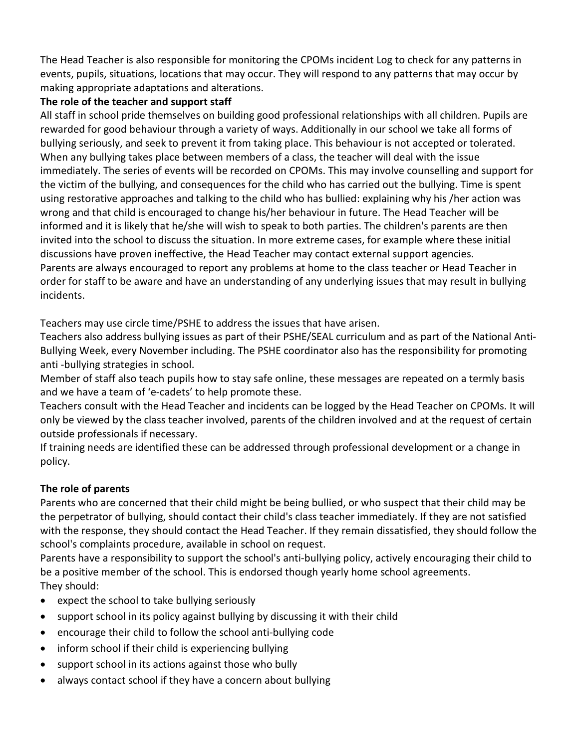The Head Teacher is also responsible for monitoring the CPOMs incident Log to check for any patterns in events, pupils, situations, locations that may occur. They will respond to any patterns that may occur by making appropriate adaptations and alterations.

## **The role of the teacher and support staff**

All staff in school pride themselves on building good professional relationships with all children. Pupils are rewarded for good behaviour through a variety of ways. Additionally in our school we take all forms of bullying seriously, and seek to prevent it from taking place. This behaviour is not accepted or tolerated. When any bullying takes place between members of a class, the teacher will deal with the issue immediately. The series of events will be recorded on CPOMs. This may involve counselling and support for the victim of the bullying, and consequences for the child who has carried out the bullying. Time is spent using restorative approaches and talking to the child who has bullied: explaining why his /her action was wrong and that child is encouraged to change his/her behaviour in future. The Head Teacher will be informed and it is likely that he/she will wish to speak to both parties. The children's parents are then invited into the school to discuss the situation. In more extreme cases, for example where these initial discussions have proven ineffective, the Head Teacher may contact external support agencies. Parents are always encouraged to report any problems at home to the class teacher or Head Teacher in order for staff to be aware and have an understanding of any underlying issues that may result in bullying incidents.

Teachers may use circle time/PSHE to address the issues that have arisen.

Teachers also address bullying issues as part of their PSHE/SEAL curriculum and as part of the National Anti-Bullying Week, every November including. The PSHE coordinator also has the responsibility for promoting anti -bullying strategies in school.

Member of staff also teach pupils how to stay safe online, these messages are repeated on a termly basis and we have a team of 'e-cadets' to help promote these.

Teachers consult with the Head Teacher and incidents can be logged by the Head Teacher on CPOMs. It will only be viewed by the class teacher involved, parents of the children involved and at the request of certain outside professionals if necessary.

If training needs are identified these can be addressed through professional development or a change in policy.

# **The role of parents**

Parents who are concerned that their child might be being bullied, or who suspect that their child may be the perpetrator of bullying, should contact their child's class teacher immediately. If they are not satisfied with the response, they should contact the Head Teacher. If they remain dissatisfied, they should follow the school's complaints procedure, available in school on request.

Parents have a responsibility to support the school's anti-bullying policy, actively encouraging their child to be a positive member of the school. This is endorsed though yearly home school agreements. They should:

- expect the school to take bullying seriously
- support school in its policy against bullying by discussing it with their child
- encourage their child to follow the school anti-bullying code
- inform school if their child is experiencing bullying
- support school in its actions against those who bully
- always contact school if they have a concern about bullying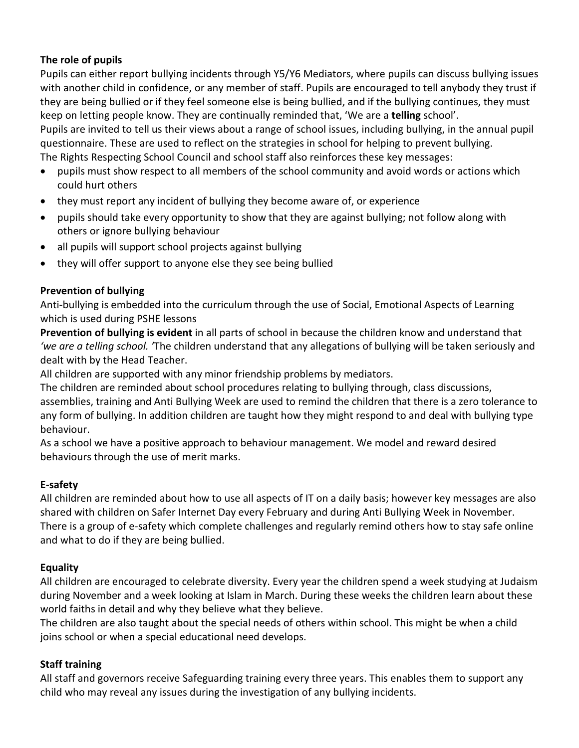# **The role of pupils**

Pupils can either report bullying incidents through Y5/Y6 Mediators, where pupils can discuss bullying issues with another child in confidence, or any member of staff. Pupils are encouraged to tell anybody they trust if they are being bullied or if they feel someone else is being bullied, and if the bullying continues, they must keep on letting people know. They are continually reminded that, 'We are a **telling** school'.

Pupils are invited to tell us their views about a range of school issues, including bullying, in the annual pupil questionnaire. These are used to reflect on the strategies in school for helping to prevent bullying. The Rights Respecting School Council and school staff also reinforces these key messages:

- pupils must show respect to all members of the school community and avoid words or actions which could hurt others
- they must report any incident of bullying they become aware of, or experience
- pupils should take every opportunity to show that they are against bullying; not follow along with others or ignore bullying behaviour
- all pupils will support school projects against bullying
- they will offer support to anyone else they see being bullied

## **Prevention of bullying**

Anti-bullying is embedded into the curriculum through the use of Social, Emotional Aspects of Learning which is used during PSHE lessons

**Prevention of bullying is evident** in all parts of school in because the children know and understand that *'we are a telling school. '*The children understand that any allegations of bullying will be taken seriously and dealt with by the Head Teacher.

All children are supported with any minor friendship problems by mediators.

The children are reminded about school procedures relating to bullying through, class discussions, assemblies, training and Anti Bullying Week are used to remind the children that there is a zero tolerance to any form of bullying. In addition children are taught how they might respond to and deal with bullying type behaviour.

As a school we have a positive approach to behaviour management. We model and reward desired behaviours through the use of merit marks.

## **E-safety**

All children are reminded about how to use all aspects of IT on a daily basis; however key messages are also shared with children on Safer Internet Day every February and during Anti Bullying Week in November. There is a group of e-safety which complete challenges and regularly remind others how to stay safe online and what to do if they are being bullied.

# **Equality**

All children are encouraged to celebrate diversity. Every year the children spend a week studying at Judaism during November and a week looking at Islam in March. During these weeks the children learn about these world faiths in detail and why they believe what they believe.

The children are also taught about the special needs of others within school. This might be when a child joins school or when a special educational need develops.

# **Staff training**

All staff and governors receive Safeguarding training every three years. This enables them to support any child who may reveal any issues during the investigation of any bullying incidents.